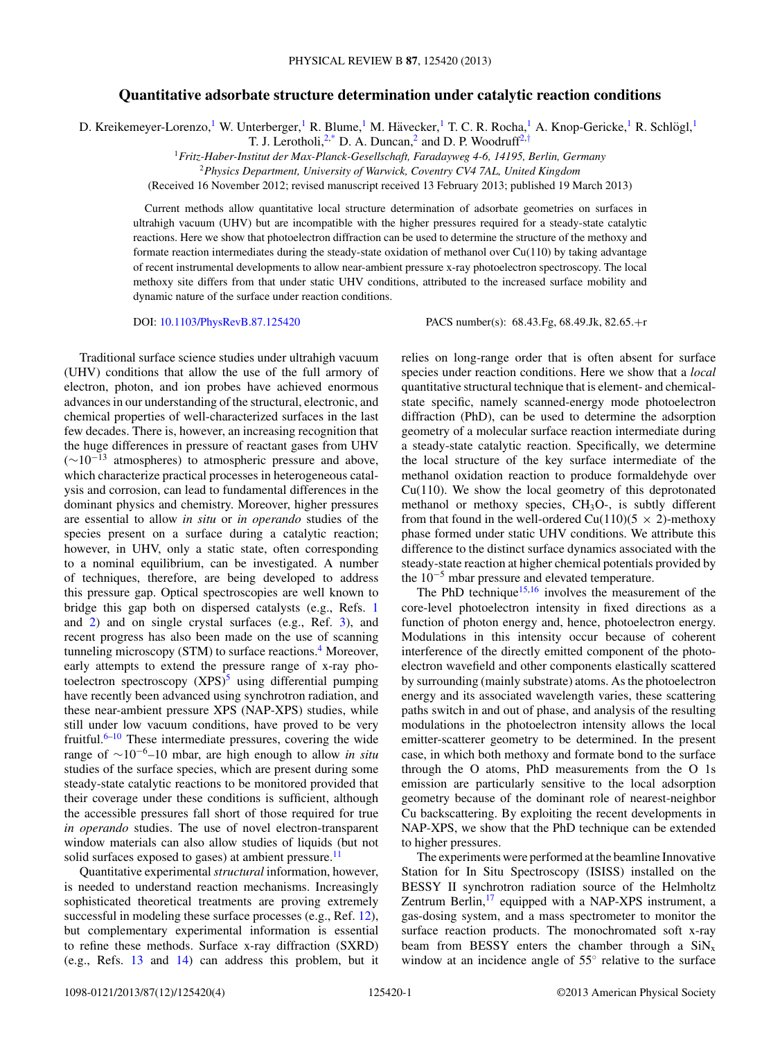## **Quantitative adsorbate structure determination under catalytic reaction conditions**

D. Kreikemeyer-Lorenzo,<sup>1</sup> W. Unterberger,<sup>1</sup> R. Blume,<sup>1</sup> M. Hävecker,<sup>1</sup> T. C. R. Rocha,<sup>1</sup> A. Knop-Gericke,<sup>1</sup> R. Schlögl,<sup>1</sup>

T. J. Lerotholi,<sup>2[,\\*](#page-3-0)</sup> D. A. Duncan,<sup>2</sup> and D. P. Woodruff<sup>2,[†](#page-3-0)</sup>

<sup>1</sup>*Fritz-Haber-Institut der Max-Planck-Gesellschaft, Faradayweg 4-6, 14195, Berlin, Germany*

<sup>2</sup>*Physics Department, University of Warwick, Coventry CV4 7AL, United Kingdom*

(Received 16 November 2012; revised manuscript received 13 February 2013; published 19 March 2013)

Current methods allow quantitative local structure determination of adsorbate geometries on surfaces in ultrahigh vacuum (UHV) but are incompatible with the higher pressures required for a steady-state catalytic reactions. Here we show that photoelectron diffraction can be used to determine the structure of the methoxy and formate reaction intermediates during the steady-state oxidation of methanol over  $Cu(110)$  by taking advantage of recent instrumental developments to allow near-ambient pressure x-ray photoelectron spectroscopy. The local methoxy site differs from that under static UHV conditions, attributed to the increased surface mobility and dynamic nature of the surface under reaction conditions.

DOI: [10.1103/PhysRevB.87.125420](http://dx.doi.org/10.1103/PhysRevB.87.125420) PACS number(s): 68*.*43*.*Fg, 68*.*49*.*Jk, 82*.*65*.*+r

Traditional surface science studies under ultrahigh vacuum (UHV) conditions that allow the use of the full armory of electron, photon, and ion probes have achieved enormous advances in our understanding of the structural, electronic, and chemical properties of well-characterized surfaces in the last few decades. There is, however, an increasing recognition that the huge differences in pressure of reactant gases from UHV  $(\sim 10^{-13}$  atmospheres) to atmospheric pressure and above, which characterize practical processes in heterogeneous catalysis and corrosion, can lead to fundamental differences in the dominant physics and chemistry. Moreover, higher pressures are essential to allow *in situ* or *in operando* studies of the species present on a surface during a catalytic reaction; however, in UHV, only a static state, often corresponding to a nominal equilibrium, can be investigated. A number of techniques, therefore, are being developed to address this pressure gap. Optical spectroscopies are well known to bridge this gap both on dispersed catalysts (e.g., Refs. [1](#page-3-0) and [2\)](#page-3-0) and on single crystal surfaces (e.g., Ref. [3\)](#page-3-0), and recent progress has also been made on the use of scanning tunneling microscopy (STM) to surface reactions.<sup>4</sup> Moreover, early attempts to extend the pressure range of x-ray photoelectron spectroscopy  $(XPS)^5$  $(XPS)^5$  using differential pumping have recently been advanced using synchrotron radiation, and these near-ambient pressure XPS (NAP-XPS) studies, while still under low vacuum conditions, have proved to be very fruitful. $6-10$  These intermediate pressures, covering the wide range of <sup>∼</sup>10−6–10 mbar, are high enough to allow *in situ* studies of the surface species, which are present during some steady-state catalytic reactions to be monitored provided that their coverage under these conditions is sufficient, although the accessible pressures fall short of those required for true *in operando* studies. The use of novel electron-transparent window materials can also allow studies of liquids (but not solid surfaces exposed to gases) at ambient pressure.<sup>11</sup>

Quantitative experimental *structural* information, however, is needed to understand reaction mechanisms. Increasingly sophisticated theoretical treatments are proving extremely successful in modeling these surface processes (e.g., Ref. [12\)](#page-3-0), but complementary experimental information is essential to refine these methods. Surface x-ray diffraction (SXRD) (e.g., Refs. [13](#page-3-0) and [14\)](#page-3-0) can address this problem, but it relies on long-range order that is often absent for surface species under reaction conditions. Here we show that a *local* quantitative structural technique that is element- and chemicalstate specific, namely scanned-energy mode photoelectron diffraction (PhD), can be used to determine the adsorption geometry of a molecular surface reaction intermediate during a steady-state catalytic reaction. Specifically, we determine the local structure of the key surface intermediate of the methanol oxidation reaction to produce formaldehyde over Cu(110). We show the local geometry of this deprotonated methanol or methoxy species,  $CH<sub>3</sub>O<sub>-</sub>$ , is subtly different from that found in the well-ordered Cu(110)(5  $\times$  2)-methoxy phase formed under static UHV conditions. We attribute this difference to the distinct surface dynamics associated with the steady-state reaction at higher chemical potentials provided by the  $10^{-5}$  mbar pressure and elevated temperature.

The PhD technique<sup>15,16</sup> involves the measurement of the core-level photoelectron intensity in fixed directions as a function of photon energy and, hence, photoelectron energy. Modulations in this intensity occur because of coherent interference of the directly emitted component of the photoelectron wavefield and other components elastically scattered by surrounding (mainly substrate) atoms. As the photoelectron energy and its associated wavelength varies, these scattering paths switch in and out of phase, and analysis of the resulting modulations in the photoelectron intensity allows the local emitter-scatterer geometry to be determined. In the present case, in which both methoxy and formate bond to the surface through the O atoms, PhD measurements from the O 1s emission are particularly sensitive to the local adsorption geometry because of the dominant role of nearest-neighbor Cu backscattering. By exploiting the recent developments in NAP-XPS, we show that the PhD technique can be extended to higher pressures.

The experiments were performed at the beamline Innovative Station for In Situ Spectroscopy (ISISS) installed on the BESSY II synchrotron radiation source of the Helmholtz Zentrum Berlin,<sup>[17](#page-3-0)</sup> equipped with a NAP-XPS instrument, a gas-dosing system, and a mass spectrometer to monitor the surface reaction products. The monochromated soft x-ray beam from BESSY enters the chamber through a  $\text{SiN}_x$ window at an incidence angle of 55◦ relative to the surface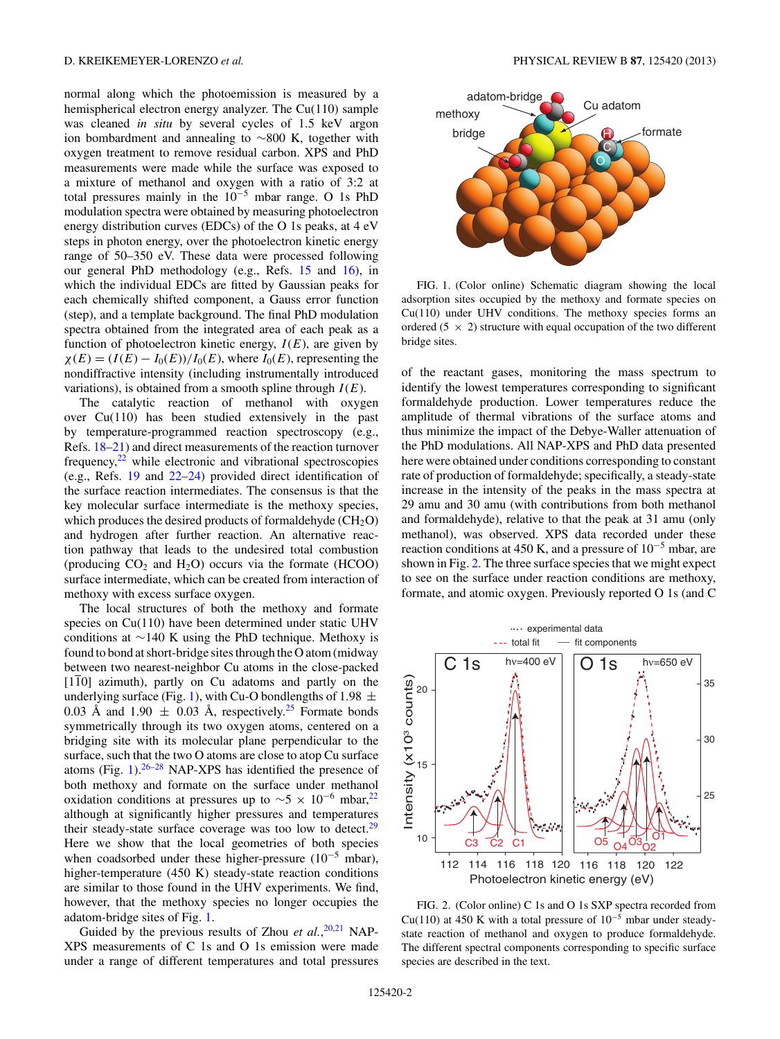<span id="page-1-0"></span>normal along which the photoemission is measured by a hemispherical electron energy analyzer. The Cu(110) sample was cleaned *in situ* by several cycles of 1.5 keV argon ion bombardment and annealing to ∼800 K, together with oxygen treatment to remove residual carbon. XPS and PhD measurements were made while the surface was exposed to a mixture of methanol and oxygen with a ratio of 3:2 at total pressures mainly in the 10−<sup>5</sup> mbar range. O 1s PhD modulation spectra were obtained by measuring photoelectron energy distribution curves (EDCs) of the O 1s peaks, at 4 eV steps in photon energy, over the photoelectron kinetic energy range of 50–350 eV. These data were processed following our general PhD methodology (e.g., Refs. [15](#page-3-0) and [16\)](#page-3-0), in which the individual EDCs are fitted by Gaussian peaks for each chemically shifted component, a Gauss error function (step), and a template background. The final PhD modulation spectra obtained from the integrated area of each peak as a function of photoelectron kinetic energy,  $I(E)$ , are given by  $\chi(E) = (I(E) - I_0(E))/I_0(E)$ , where  $I_0(E)$ , representing the nondiffractive intensity (including instrumentally introduced variations), is obtained from a smooth spline through  $I(E)$ .

The catalytic reaction of methanol with oxygen over Cu(110) has been studied extensively in the past by temperature-programmed reaction spectroscopy (e.g., Refs. [18–21\)](#page-3-0) and direct measurements of the reaction turnover frequency, $22$  while electronic and vibrational spectroscopies (e.g., Refs. [19](#page-3-0) and [22–24\)](#page-3-0) provided direct identification of the surface reaction intermediates. The consensus is that the key molecular surface intermediate is the methoxy species, which produces the desired products of formaldehyde  $(CH_2O)$ and hydrogen after further reaction. An alternative reaction pathway that leads to the undesired total combustion (producing  $CO<sub>2</sub>$  and  $H<sub>2</sub>O$ ) occurs via the formate (HCOO) surface intermediate, which can be created from interaction of methoxy with excess surface oxygen.

The local structures of both the methoxy and formate species on Cu(110) have been determined under static UHV conditions at ∼140 K using the PhD technique. Methoxy is found to bond at short-bridge sites through the O atom (midway between two nearest-neighbor Cu atoms in the close-packed  $[1\overline{1}0]$  azimuth), partly on Cu adatoms and partly on the underlying surface (Fig. 1), with Cu-O bondlengths of 1.98  $\pm$ 0.03 Å and 1.90  $\pm$  0.03 Å, respectively.<sup>[25](#page-3-0)</sup> Formate bonds symmetrically through its two oxygen atoms, centered on a bridging site with its molecular plane perpendicular to the surface, such that the two O atoms are close to atop Cu surface atoms (Fig. 1). $26-28$  NAP-XPS has identified the presence of both methoxy and formate on the surface under methanol oxidation conditions at pressures up to  $\sim$ 5 × 10<sup>-6</sup> mbar,<sup>[22](#page-3-0)</sup> although at significantly higher pressures and temperatures their steady-state surface coverage was too low to detect.<sup>[29](#page-3-0)</sup> Here we show that the local geometries of both species when coadsorbed under these higher-pressure  $(10^{-5}$  mbar), higher-temperature (450 K) steady-state reaction conditions are similar to those found in the UHV experiments. We find, however, that the methoxy species no longer occupies the adatom-bridge sites of Fig. 1.

Guided by the previous results of Zhou *et al.*, <sup>[20,21](#page-3-0)</sup> NAP-XPS measurements of C 1s and O 1s emission were made under a range of different temperatures and total pressures



FIG. 1. (Color online) Schematic diagram showing the local adsorption sites occupied by the methoxy and formate species on Cu(110) under UHV conditions. The methoxy species forms an ordered (5  $\times$  2) structure with equal occupation of the two different bridge sites.

of the reactant gases, monitoring the mass spectrum to identify the lowest temperatures corresponding to significant formaldehyde production. Lower temperatures reduce the amplitude of thermal vibrations of the surface atoms and thus minimize the impact of the Debye-Waller attenuation of the PhD modulations. All NAP-XPS and PhD data presented here were obtained under conditions corresponding to constant rate of production of formaldehyde; specifically, a steady-state increase in the intensity of the peaks in the mass spectra at 29 amu and 30 amu (with contributions from both methanol and formaldehyde), relative to that the peak at 31 amu (only methanol), was observed. XPS data recorded under these reaction conditions at 450 K, and a pressure of  $10^{-5}$  mbar, are shown in Fig. 2. The three surface species that we might expect to see on the surface under reaction conditions are methoxy, formate, and atomic oxygen. Previously reported O 1s (and C



FIG. 2. (Color online) C 1s and O 1s SXP spectra recorded from Cu(110) at 450 K with a total pressure of  $10^{-5}$  mbar under steadystate reaction of methanol and oxygen to produce formaldehyde. The different spectral components corresponding to specific surface species are described in the text.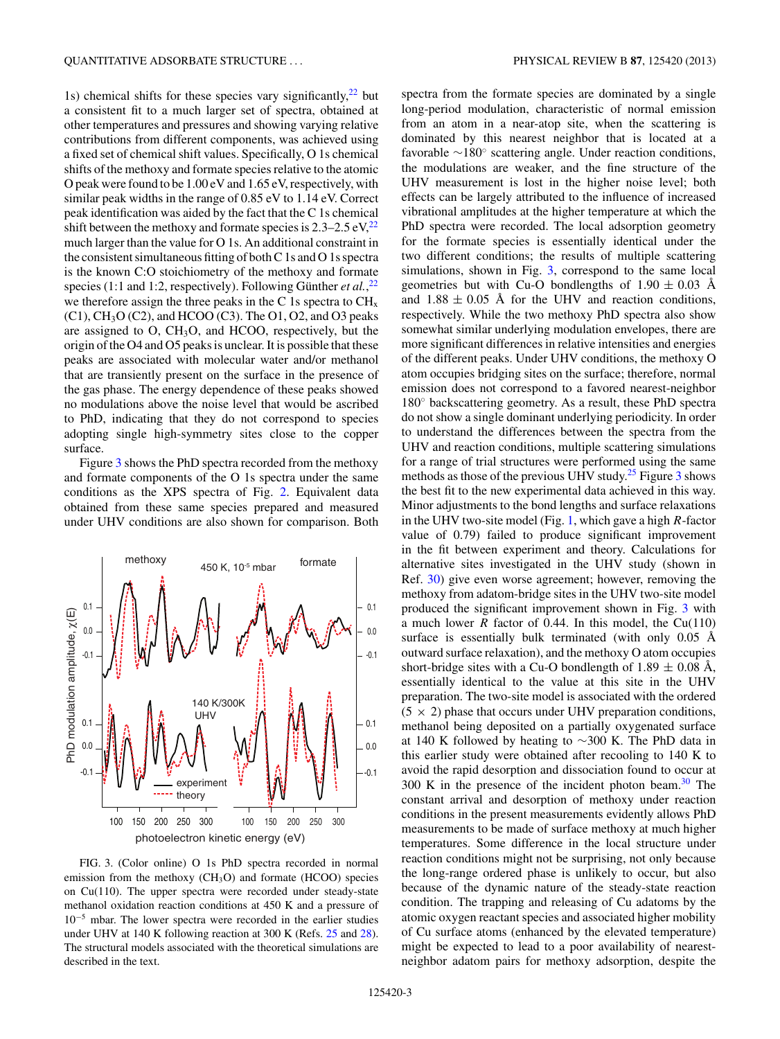1s) chemical shifts for these species vary significantly, $22$  but a consistent fit to a much larger set of spectra, obtained at other temperatures and pressures and showing varying relative contributions from different components, was achieved using a fixed set of chemical shift values. Specifically, O 1s chemical shifts of the methoxy and formate species relative to the atomic O peak were found to be 1.00 eV and 1.65 eV, respectively, with similar peak widths in the range of 0.85 eV to 1.14 eV. Correct peak identification was aided by the fact that the C 1s chemical shift between the methoxy and formate species is  $2.3-2.5 \text{ eV}$ ,  $^{22}$  $^{22}$  $^{22}$ much larger than the value for O 1s. An additional constraint in the consistent simultaneous fitting of both C 1s and O 1s spectra is the known C:O stoichiometry of the methoxy and formate species (1:1 and 1:2, respectively). Following Günther *et al.*,<sup>[22](#page-3-0)</sup> we therefore assign the three peaks in the C 1s spectra to  $CH<sub>x</sub>$  $(C1)$ , CH<sub>3</sub>O  $(C2)$ , and HCOO  $(C3)$ . The O1, O2, and O3 peaks are assigned to O, CH3O, and HCOO, respectively, but the origin of the O4 and O5 peaks is unclear. It is possible that these peaks are associated with molecular water and/or methanol that are transiently present on the surface in the presence of the gas phase. The energy dependence of these peaks showed no modulations above the noise level that would be ascribed to PhD, indicating that they do not correspond to species adopting single high-symmetry sites close to the copper surface.

Figure 3 shows the PhD spectra recorded from the methoxy and formate components of the O 1s spectra under the same conditions as the XPS spectra of Fig. [2.](#page-1-0) Equivalent data obtained from these same species prepared and measured under UHV conditions are also shown for comparison. Both



FIG. 3. (Color online) O 1s PhD spectra recorded in normal emission from the methoxy  $(CH<sub>3</sub>O)$  and formate (HCOO) species on Cu(110). The upper spectra were recorded under steady-state methanol oxidation reaction conditions at 450 K and a pressure of 10−<sup>5</sup> mbar. The lower spectra were recorded in the earlier studies under UHV at 140 K following reaction at 300 K (Refs. [25](#page-3-0) and [28\)](#page-3-0). The structural models associated with the theoretical simulations are described in the text.

spectra from the formate species are dominated by a single long-period modulation, characteristic of normal emission from an atom in a near-atop site, when the scattering is dominated by this nearest neighbor that is located at a favorable ∼180◦ scattering angle. Under reaction conditions, the modulations are weaker, and the fine structure of the UHV measurement is lost in the higher noise level; both effects can be largely attributed to the influence of increased vibrational amplitudes at the higher temperature at which the PhD spectra were recorded. The local adsorption geometry for the formate species is essentially identical under the two different conditions; the results of multiple scattering simulations, shown in Fig. 3, correspond to the same local geometries but with Cu-O bondlengths of  $1.90 \pm 0.03$  Å and  $1.88 \pm 0.05$  Å for the UHV and reaction conditions, respectively. While the two methoxy PhD spectra also show somewhat similar underlying modulation envelopes, there are more significant differences in relative intensities and energies of the different peaks. Under UHV conditions, the methoxy O atom occupies bridging sites on the surface; therefore, normal emission does not correspond to a favored nearest-neighbor 180◦ backscattering geometry. As a result, these PhD spectra do not show a single dominant underlying periodicity. In order to understand the differences between the spectra from the UHV and reaction conditions, multiple scattering simulations for a range of trial structures were performed using the same methods as those of the previous UHV study.<sup>[25](#page-3-0)</sup> Figure 3 shows the best fit to the new experimental data achieved in this way. Minor adjustments to the bond lengths and surface relaxations in the UHV two-site model (Fig. [1,](#page-1-0) which gave a high *R*-factor value of 0.79) failed to produce significant improvement in the fit between experiment and theory. Calculations for alternative sites investigated in the UHV study (shown in Ref. [30\)](#page-3-0) give even worse agreement; however, removing the methoxy from adatom-bridge sites in the UHV two-site model produced the significant improvement shown in Fig. 3 with a much lower *R* factor of 0.44. In this model, the  $Cu(110)$ surface is essentially bulk terminated (with only  $0.05 \text{ Å}$ outward surface relaxation), and the methoxy O atom occupies short-bridge sites with a Cu-O bondlength of  $1.89 \pm 0.08$  Å, essentially identical to the value at this site in the UHV preparation. The two-site model is associated with the ordered  $(5 \times 2)$  phase that occurs under UHV preparation conditions, methanol being deposited on a partially oxygenated surface at 140 K followed by heating to ∼300 K. The PhD data in this earlier study were obtained after recooling to 140 K to avoid the rapid desorption and dissociation found to occur at [30](#page-3-0)0 K in the presence of the incident photon beam. $30$  The constant arrival and desorption of methoxy under reaction conditions in the present measurements evidently allows PhD measurements to be made of surface methoxy at much higher temperatures. Some difference in the local structure under reaction conditions might not be surprising, not only because the long-range ordered phase is unlikely to occur, but also because of the dynamic nature of the steady-state reaction condition. The trapping and releasing of Cu adatoms by the atomic oxygen reactant species and associated higher mobility of Cu surface atoms (enhanced by the elevated temperature) might be expected to lead to a poor availability of nearestneighbor adatom pairs for methoxy adsorption, despite the